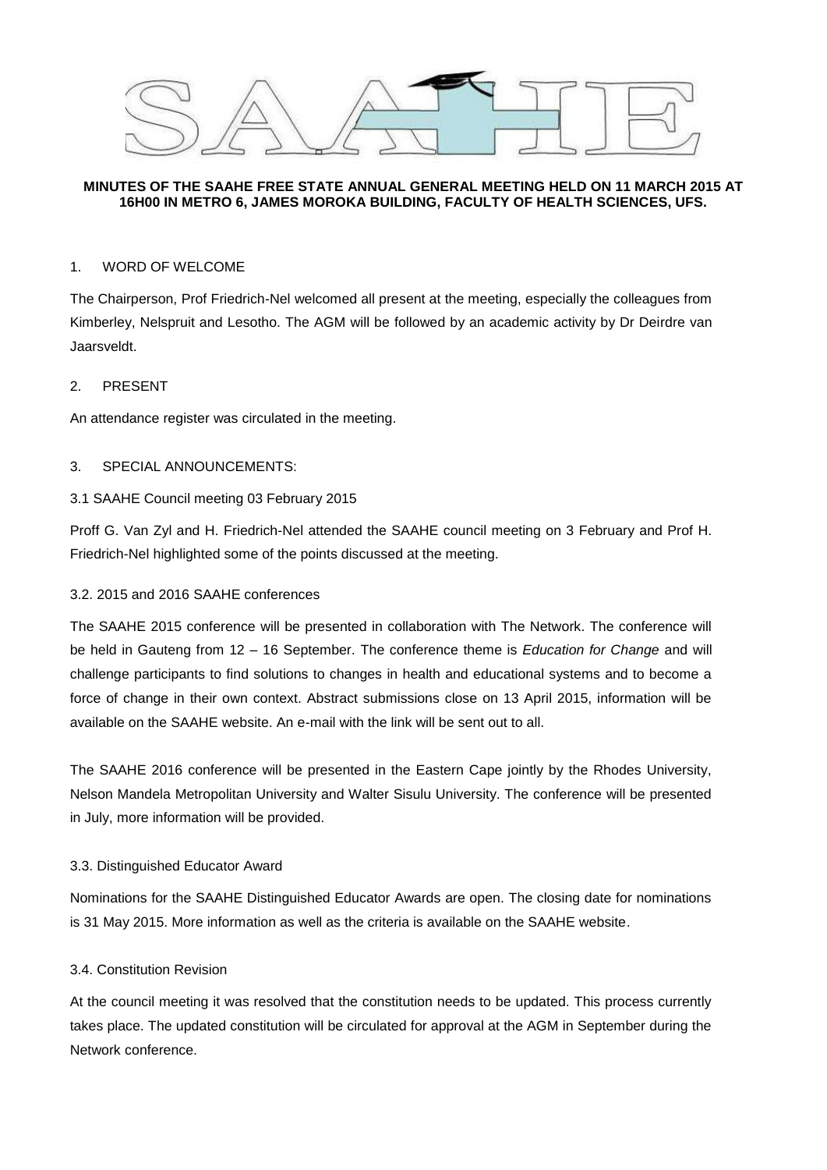

## **MINUTES OF THE SAAHE FREE STATE ANNUAL GENERAL MEETING HELD ON 11 MARCH 2015 AT 16H00 IN METRO 6, JAMES MOROKA BUILDING, FACULTY OF HEALTH SCIENCES, UFS.**

# 1. WORD OF WELCOME

The Chairperson, Prof Friedrich-Nel welcomed all present at the meeting, especially the colleagues from Kimberley, Nelspruit and Lesotho. The AGM will be followed by an academic activity by Dr Deirdre van Jaarsveldt.

## 2. PRESENT

An attendance register was circulated in the meeting.

## 3. SPECIAL ANNOUNCEMENTS:

## 3.1 SAAHE Council meeting 03 February 2015

Proff G. Van Zyl and H. Friedrich-Nel attended the SAAHE council meeting on 3 February and Prof H. Friedrich-Nel highlighted some of the points discussed at the meeting.

## 3.2. 2015 and 2016 SAAHE conferences

The SAAHE 2015 conference will be presented in collaboration with The Network. The conference will be held in Gauteng from 12 – 16 September. The conference theme is *Education for Change* and will challenge participants to find solutions to changes in health and educational systems and to become a force of change in their own context. Abstract submissions close on 13 April 2015, information will be available on the SAAHE website. An e-mail with the link will be sent out to all.

The SAAHE 2016 conference will be presented in the Eastern Cape jointly by the Rhodes University, Nelson Mandela Metropolitan University and Walter Sisulu University. The conference will be presented in July, more information will be provided.

#### 3.3. Distinguished Educator Award

Nominations for the SAAHE Distinguished Educator Awards are open. The closing date for nominations is 31 May 2015. More information as well as the criteria is available on the SAAHE website.

#### 3.4. Constitution Revision

At the council meeting it was resolved that the constitution needs to be updated. This process currently takes place. The updated constitution will be circulated for approval at the AGM in September during the Network conference.